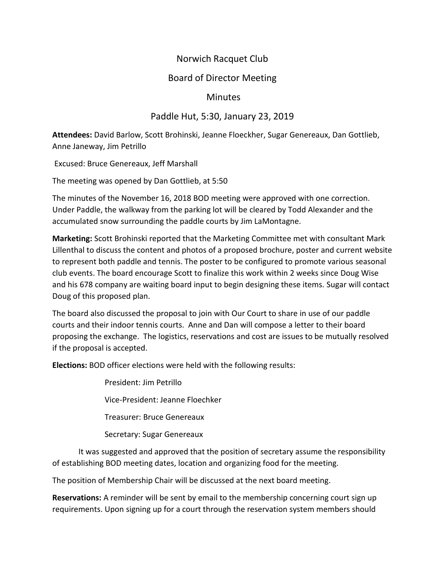# Norwich Racquet Club

## Board of Director Meeting

### **Minutes**

### Paddle Hut, 5:30, January 23, 2019

**Attendees:** David Barlow, Scott Brohinski, Jeanne Floeckher, Sugar Genereaux, Dan Gottlieb, Anne Janeway, Jim Petrillo

Excused: Bruce Genereaux, Jeff Marshall

The meeting was opened by Dan Gottlieb, at 5:50

The minutes of the November 16, 2018 BOD meeting were approved with one correction. Under Paddle, the walkway from the parking lot will be cleared by Todd Alexander and the accumulated snow surrounding the paddle courts by Jim LaMontagne.

**Marketing:** Scott Brohinski reported that the Marketing Committee met with consultant Mark Lillenthal to discuss the content and photos of a proposed brochure, poster and current website to represent both paddle and tennis. The poster to be configured to promote various seasonal club events. The board encourage Scott to finalize this work within 2 weeks since Doug Wise and his 678 company are waiting board input to begin designing these items. Sugar will contact Doug of this proposed plan.

The board also discussed the proposal to join with Our Court to share in use of our paddle courts and their indoor tennis courts. Anne and Dan will compose a letter to their board proposing the exchange. The logistics, reservations and cost are issues to be mutually resolved if the proposal is accepted.

**Elections:** BOD officer elections were held with the following results:

President: Jim Petrillo Vice-President: Jeanne Floechker Treasurer: Bruce Genereaux

Secretary: Sugar Genereaux

It was suggested and approved that the position of secretary assume the responsibility of establishing BOD meeting dates, location and organizing food for the meeting.

The position of Membership Chair will be discussed at the next board meeting.

**Reservations:** A reminder will be sent by email to the membership concerning court sign up requirements. Upon signing up for a court through the reservation system members should